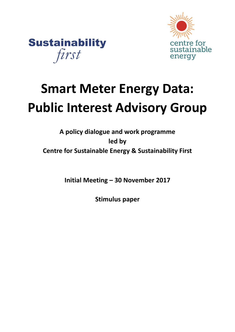



# **Smart Meter Energy Data: Public Interest Advisory Group**

**A policy dialogue and work programme led by Centre for Sustainable Energy & Sustainability First**

**Initial Meeting – 30 November 2017**

**Stimulus paper**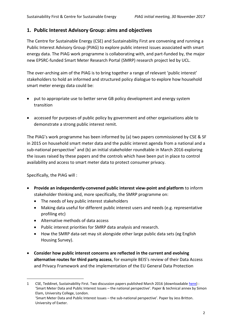# **1. Public Interest Advisory Group: aims and objectives**

The Centre for Sustainable Energy (CSE) and Sustainability First are convening and running a Public Interest Advisory Group (PIAG) to explore public interest issues associated with smart energy data. The PIAG work programme is collaborating with, and part-funded by, the major new EPSRC-funded Smart Meter Research Portal (SMRP) research project led by UCL.

The over-arching aim of the PIAG is to bring together a range of relevant 'public interest' stakeholders to hold an informed and structured policy dialogue to explore how household smart meter energy data could be:

- put to appropriate use to better serve GB policy development and energy system transition
- accessed for purposes of public policy by government and other organisations able to demonstrate a strong public interest remit.

The PIAG's work programme has been informed by (a) two papers commissioned by CSE & SF in 2015 on household smart meter data and the public interest agenda from a national and a sub-national perspective<sup>1</sup> and (b) an initial stakeholder roundtable in March 2016 exploring the issues raised by these papers and the controls which have been put in place to control availability and access to smart meter data to protect consumer privacy.

Specifically, the PIAG will :

 $\overline{a}$ 

- **Provide an independently-convened public interest view-point and platform** to inform stakeholder thinking and, more specifically, the SMRP programme on:
	- The needs of key public interest stakeholders
	- Making data useful for different public interest users and needs (e.g. representative profiling etc)
	- Alternative methods of data access
	- Public interest priorities for SMRP data analysis and research.
	- How the SMRP data-set may sit alongside other large public data sets (eg English Housing Survey).
- **Consider how public interest concerns are reflected in the current and evolving alternative routes for third party access**, for example BEIS's review of their Data Access and Privacy Framework and the implementation of the EU General Data Protection

<sup>1</sup> CSE, Teddinet, Sustainability First. Two discussion papers published March 2016 (downloadabl[e here\)](https://www.cse.org.uk/news/view/2091) : 'Smart Meter Data and Public Interest Issues – the national perspective'. Paper & technical annex by Simon Elam, University College, London. 'Smart Meter Data and Public Interest Issues – the sub-national perspective'. Paper by Jess Britton.

University of Exeter.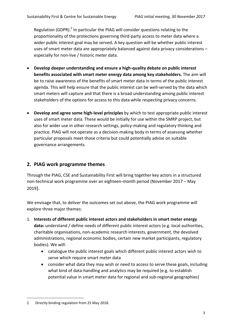Regulation (GDPR).<sup>2</sup> In particular the PIAG will consider questions relating to the proportionality of the protections governing third-party access to meter data where a wider public interest goal may be served**.** A key question will be whether public interest uses of smart meter data are appropriately balanced against data privacy considerations – especially for non-live / historic meter data.

- **Develop deeper understanding and ensure a high-quality debate on public interest benefits associated with smart meter energy data among key stakeholders.** The aim will be to raise awareness of the benefits of smart meter data in terms of the public interest agenda. This will help ensure that the public interest can be well-served by the data which smart meters will capture and that there is a broad understanding among public interest stakeholders of the options for access to this data while respecting privacy concerns.
- **Develop and agree some high-level principles** by which to test appropriate public interest uses of smart meter data. These would be initially for use within the SMRP project, but also for wider use in other research settings, policy-making and regulatory thinking and practice. PIAG will not operate as a decision-making body in terms of assessing whether particular proposals meet those criteria but could potentially advise on suitable governance arrangements.

# **2. PIAG work programme themes**

Through the PIAG, CSE and Sustainability First will bring together key actors in a structured non-technical work programme over an eighteen-month period (November 2017 – May 2019).

We envisage that, to deliver the outcomes set out above, the PIAG work programme will explore three major themes:

- 1. **Interests of different public interest actors and stakeholders in smart meter energy data:** understand / define needs of different public interest actors (e.g. local authorities, charitable organisations, non-academic research interests, government, the devolved administrations, regional economic bodies, certain new market participants, regulatory bodies). We will:
	- catalogue the public interest goals which different public interest actors wish to serve which require smart meter data
	- consider what data they may wish or need to access to serve these goals, including what kind of data-handling and analytics may be required (e.g. to establish potential value in smart meter data for regional and sub-regional geographies)

 $\overline{a}$ 

<sup>2</sup> Directly binding regulation from 25 May 2018.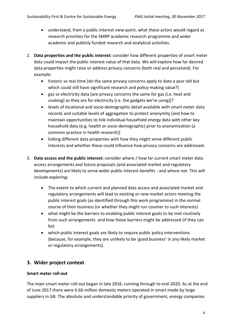- understand, from a public interest view-point, what these actors would regard as research priorities for the SMRP academic research programme and wider academic and publicly funded research and analytical activities.
- 2. **Data properties and the public interest:** consider how different properties of smart meter data could impact the public interest value of that data. We will explore how far desired data properties might raise or address privacy concerns (both real and perceived). For example:
	- historic vs real time (do the same privacy concerns apply to data a year old but which could still have significant research and policy-making value?)
	- gas vs electricity data [are privacy concerns the same for gas (i.e. heat and cooking) as they are for electricity (i.e. the gadgets we're using)]?
	- levels of locational and socio-demographic detail available with smart meter data records and suitable levels of aggregation to protect anonymity [and how to maintain opportunities to link individual household energy data with other key household data (e.g. health or socio-demographic) prior to anonymization (a common practice in health research)]
	- linking different data properties with how they might serve different public interests and whether these could influence how privacy concerns are addressed.
- 3. **Data access and the public interest:** consider where / how far current smart meter data access arrangements and future proposals (and associated market and regulatory developments) are likely to serve wider public interest benefits - and where not. This will include exploring:
	- The extent to which current and planned data access and associated market and regulatory arrangements will lead to existing or new market actors meeting the public interest goals (as identified through this work programme) in the normal course of their business (or whether they might run counter to such interests)
	- what might be the barriers to enabling public interest goals to be met routinely from such arrangements and how those barriers might be addressed (if they can be)
	- which public interest goals are likely to require public policy interventions (because, for example, they are unlikely to be 'good business' in any likely market or regulatory arrangements).

# **3. Wider project context**

## **Smart meter roll-out**

The main smart meter roll-out began in late 2016, running through to end-2020. As at the end of June 2017 there were 6.66 million domestic meters operated in smart mode by large suppliers in GB. The absolute and understandable priority of government, energy companies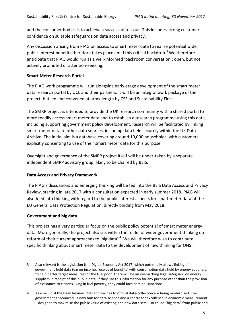and the consumer bodies is to achieve a successful roll-out. This includes strong customer confidence on suitable safeguards on data access and privacy.

Any discussion arising from PIAG on access to smart meter data to realise potential wider public interest benefits therefore takes place amid this critical backdrop.<sup>3</sup> We therefore anticipate that PIAG would run as a well-informed 'backroom conversation': open, but not actively promoted or attention-seeking.

#### **Smart Meter Research Portal**

The PIAG work programme will run alongside early-stage development of the smart meter data research portal by UCL and their partners. It will be an integral work package of the project, but led and convened at arms-length by CSE and Sustainability First.

The SMRP project is intended to provide the UK research community with a shared portal to more readily access smart meter data and to establish a research programme using this data, including supporting government policy development. Research will be facilitated by linking smart meter data to other data sources, including data held securely within the UK Data Archive. The initial aim is a database covering around 10,000 households, with customers explicitly consenting to use of their smart meter data for this purpose.

Oversight and governance of the SMRP project itself will be under-taken by a separate independent SMRP advisory group, likely to be chaired by BEIS.

#### **Data Access and Privacy Framework**

The PIAG's discussions and emerging thinking will be fed into the BEIS Data Access and Privacy Review, starting in late 2017 with a consultation expected in early summer 2018. PIAG will also feed into thinking with regard to the public interest aspects for smart meter data of the EU General Data Protection Regulation, directly binding from May 2018.

## **Government and big data**

 $\overline{a}$ 

This project has a very particular focus on the public policy potential of smart meter energy data. More generally, the project also sits within the realm of wider government thinking on reform of their current approaches to 'big data'.<sup>4</sup> We will therefore wish to contribute specific thinking about smart meter data to the development of new thinking for ONS.

<sup>3</sup> Also relevant is the legislation (the Digital Economy Act 2017) which potentially allows linking of government-held data (e.g on income, receipt of benefits) with consumption data held by energy suppliers, to help better target measures for the fuel poor. There will be an overarching legal safeguard on energy suppliers in receipt of this public-data. If they use this information for any purpose other than the provision of assistance to citizens living in fuel poverty, they could face criminal sanctions.

<sup>4</sup> As a result of the Bean Review, ONS approaches to official data-collection are being modernised. The government announced 'a new hub for data science and a centre for excellence in economic measurement – designed to maximise the public value of existing and new data sets – so called "big data" from public and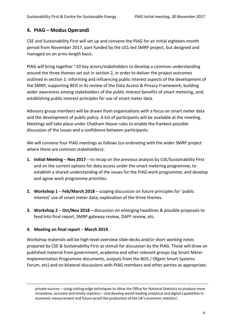# **4. PIAG – Modus Operandi**

CSE and Sustainability First will set up and convene the PIAG for an initial eighteen-month period from November 2017, part-funded by the UCL-led SMRP project, but designed and managed on an arms-length basis.

PIAG will bring together ~20 key actors/stakeholders to develop a common understanding around the three themes set out in section 2, in order to deliver the project outcomes outlined in section 1: informing and influencing public interest aspects of the development of the SMRP; supporting BEIS in its review of the Data Access & Privacy Framework; building wider awareness among stakeholders of the public interest benefits of smart metering, and; establishing public interest principles for use of smart meter data.

Advisory group members will be drawn from organisations with a focus on smart meter data and the development of public policy. A list of participants will be available at the meeting. Meetings will take place under Chatham House rules to enable the frankest possible discussion of the issues and a confidence between participants.

We will convene four PIAG meetings as follows (co-ordinating with the wider SMRP project where there are common stakeholders):

- **1. Initial Meeting Nov 2017** to recap on the previous analysis by CSE/Sustainability First and on the current options for data access under the smart metering programme; to establish a shared understanding of the issues for the PIAG work programme; and develop and agree work programme priorities.
- **2. Workshop 1 Feb/March 2018** scoping discussion on future principles for 'public interest' use of smart meter data; exploration of the three themes.
- **3. Workshop 2 Oct/Nov 2018** discussion on emerging headlines & possible proposals to feed into final report, SMRP gateway review, DAPF review, etc.

#### **4. Meeting on final report** – **March 2019**.

 $\overline{a}$ 

Workshop materials will be high-level overview slide-decks and/or short working notes prepared by CSE & Sustainability First as stimuli for discussion by the PIAG. These will draw on published material from government, academia and other relevant groups (eg Smart Meter Implementation Programme documents, outputs from the BEIS / Ofgem Smart Systems Forum, etc) and on bilateral discussions with PIAG members and other parties as appropriate.

private sources – using cutting-edge techniques to allow the Office for National Statistics to produce more innovative, accurate and timely statistics – and develop world-leading analytical and digital capabilities in economic measurement and future-proof the production of the UK's economic statistics'.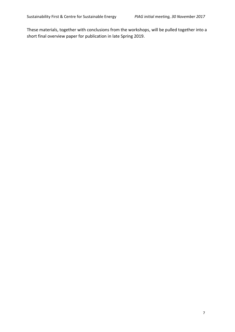These materials, together with conclusions from the workshops, will be pulled together into a short final overview paper for publication in late Spring 2019.